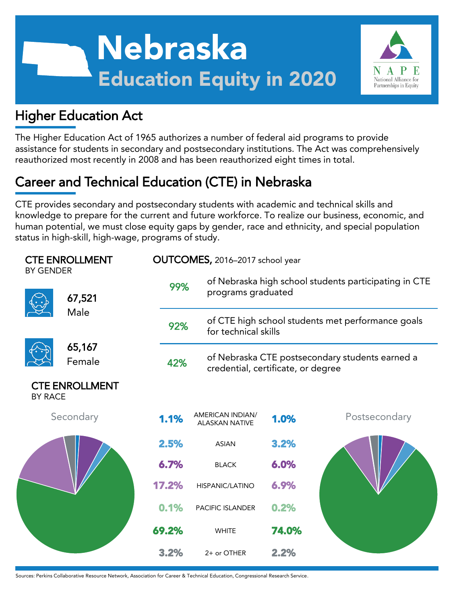



## Higher Education Act

The Higher Education Act of 1965 authorizes a number of federal aid programs to provide assistance for students in secondary and postsecondary institutions. The Act was comprehensively reauthorized most recently in 2008 and has been reauthorized eight times in total.

# Career and Technical Education (CTE) in Nebraska

CTE provides secondary and postsecondary students with academic and technical skills and knowledge to prepare for the current and future workforce. To realize our business, economic, and human potential, we must close equity gaps by gender, race and ethnicity, and special population status in high-skill, high-wage, programs of study.

| <b>CTE ENROLLMENT</b><br><b>BY GENDER</b> |                  |       | OUTCOMES, 2016-2017 school year           |                                                                             |               |  |  |  |
|-------------------------------------------|------------------|-------|-------------------------------------------|-----------------------------------------------------------------------------|---------------|--|--|--|
|                                           | 67,521           | 99%   |                                           | of Nebraska high school students participating in CTE<br>programs graduated |               |  |  |  |
|                                           | Male             | 92%   |                                           | of CTE high school students met performance goals<br>for technical skills   |               |  |  |  |
|                                           | 65,167<br>Female | 42%   | credential, certificate, or degree        | of Nebraska CTE postsecondary students earned a                             |               |  |  |  |
| <b>CTE ENROLLMENT</b><br><b>BY RACE</b>   |                  |       |                                           |                                                                             |               |  |  |  |
|                                           | Secondary        | 1.1%  | AMERICAN INDIAN/<br><b>ALASKAN NATIVE</b> | 1.0%                                                                        | Postsecondary |  |  |  |
|                                           |                  | 2.5%  | <b>ASIAN</b>                              | 3.2%                                                                        |               |  |  |  |
|                                           |                  | 6.7%  | <b>BLACK</b>                              | 6.0%                                                                        |               |  |  |  |
|                                           |                  | 17.2% | HISPANIC/LATINO                           | 6.9%                                                                        |               |  |  |  |
|                                           |                  | 0.1%  | <b>PACIFIC ISLANDER</b>                   | 0.2%                                                                        |               |  |  |  |
|                                           |                  | 69.2% | <b>WHITE</b>                              | 74.0%                                                                       |               |  |  |  |
|                                           |                  | 3.2%  | 2+ or OTHER                               | 2.2%                                                                        |               |  |  |  |

Sources: Perkins Collaborative Resource Network, Association for Career & Technical Education, Congressional Research Service.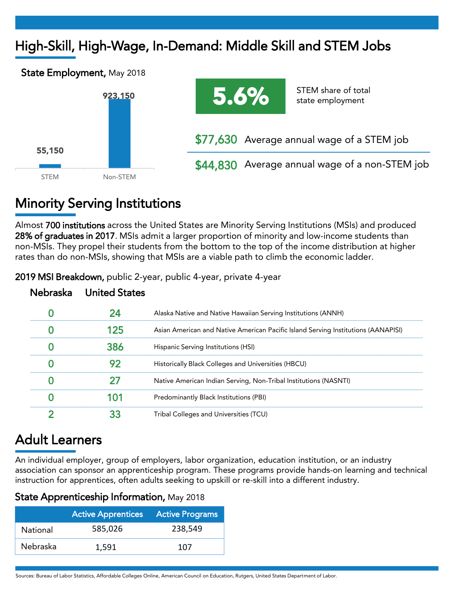# High-Skill, High-Wage, In-Demand: Middle Skill and STEM Jobs





\$44,830 Average annual wage of a non-STEM job

## Minority Serving Institutions

Almost 700 institutions across the United States are Minority Serving Institutions (MSIs) and produced 28% of graduates in 2017. MSIs admit a larger proportion of minority and low-income students than non-MSIs. They propel their students from the bottom to the top of the income distribution at higher rates than do non-MSIs, showing that MSIs are a viable path to climb the economic ladder.

| braska United States |                                                                                   |
|----------------------|-----------------------------------------------------------------------------------|
|                      | Alaska Native and Native Hawaiian Serving Institutions (ANNH)                     |
|                      | Asian American and Native American Pacific Island Serving Institutions (AANAPISI) |
|                      | Hispanic Serving Institutions (HSI)                                               |
|                      | Historically Black Colleges and Universities (HBCU)                               |
|                      | Native American Indian Serving, Non-Tribal Institutions (NASNTI)                  |
|                      | Predominantly Black Institutions (PBI)                                            |
|                      | Tribal Colleges and Universities (TCU)                                            |

2019 MSI Breakdown, public 2-year, public 4-year, private 4-year

## Adult Learners

An individual employer, group of employers, labor organization, education institution, or an industry association can sponsor an apprenticeship program. These programs provide hands-on learning and technical instruction for apprentices, often adults seeking to upskill or re-skill into a different industry.

|  |  |  |  | <b>State Apprenticeship Information,</b> May 2018 |  |  |
|--|--|--|--|---------------------------------------------------|--|--|
|--|--|--|--|---------------------------------------------------|--|--|

|          | <b>Active Apprentices</b> Active Programs |         |  |  |  |
|----------|-------------------------------------------|---------|--|--|--|
| National | 585,026                                   | 238.549 |  |  |  |
| Nebraska | 1.591                                     | 107     |  |  |  |

Sources: Bureau of Labor Statistics, Affordable Colleges Online, American Council on Education, Rutgers, United States Department of Labor.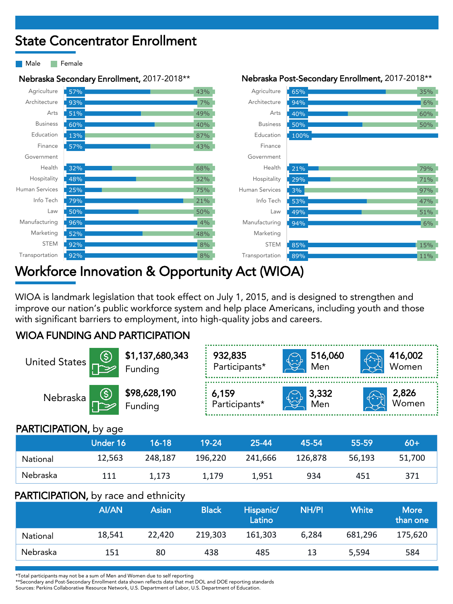## State Concentrator Enrollment

Male **Female** 





## Workforce Innovation & Opportunity Act (WIOA)

WIOA is landmark legislation that took effect on July 1, 2015, and is designed to strengthen and improve our nation's public workforce system and help place Americans, including youth and those with significant barriers to employment, into high-quality jobs and careers.

#### WIOA FUNDING AND PARTICIPATION

| United States                | <b>\$1,137,680,343</b><br>∤ Funding | 932,835<br>Participants*<br>طرنتها   |  | 516,060<br>Men                 | 416,002<br>Women      |
|------------------------------|-------------------------------------|--------------------------------------|--|--------------------------------|-----------------------|
| Nebraska                     | <b>\$98,628,190</b><br>Funding      | $\frac{1}{2}$ 6,159<br>Participants* |  | $\bigoplus_{\text{Men}}$ 3,332 | <b>2,826</b><br>Women |
| <b>PARTICIPATION, by age</b> |                                     |                                      |  |                                |                       |

#### PARTICIPATION, by age

|          | Under 16 | 16-18   | $19 - 24$ | 25-44'  | 45-54   | 55-59  | 60+    |
|----------|----------|---------|-----------|---------|---------|--------|--------|
| National | 12,563   | 248.187 | 196.220   | 241,666 | 126.878 | 56.193 | 51,700 |
| Nebraska | 111      | 1,173   | 1.179     | 1.951   | 934     | 451    | 371    |

#### PARTICIPATION, by race and ethnicity

|          | AI/AN  | Asian  | <b>Black</b> | Hispanic/<br>Latino | <b>NH/PI</b> | <b>White</b> | <b>More</b><br>than one |
|----------|--------|--------|--------------|---------------------|--------------|--------------|-------------------------|
| National | 18,541 | 22.420 | 219.303      | 161.303             | 6.284        | 681.296      | 175,620                 |
| Nebraska | 151    | 80     | 438          | 485                 | 13           | 5,594        | 584                     |

\*Total participants may not be a sum of Men and Women due to self reporting

\*\*Secondary and Post-Secondary Enrollment data shown reflects data that met DOL and DOE reporting standards

Sources: Perkins Collaborative Resource Network, U.S. Department of Labor, U.S. Department of Education.